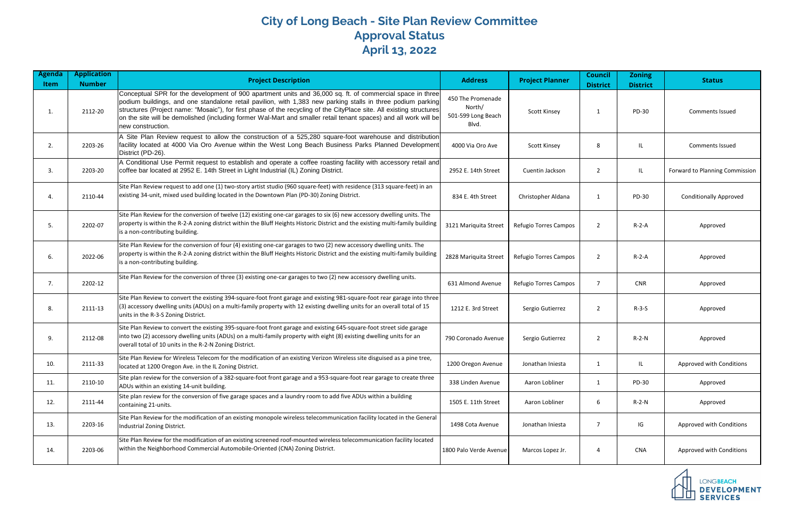## **City of Long Beach - Site Plan Review Committee Approval Status April 13, 2022**

| Agenda<br>Item | <b>Application</b><br><b>Number</b> | <b>Project Description</b>                                                                                                                                                                                                                                                                                                                                                                                                                                                                | <b>Address</b>                                             | <b>Project Planner</b> | <b>Council</b><br><b>District</b> | <b>Zoning</b><br><b>District</b> | <b>Status</b>                  |
|----------------|-------------------------------------|-------------------------------------------------------------------------------------------------------------------------------------------------------------------------------------------------------------------------------------------------------------------------------------------------------------------------------------------------------------------------------------------------------------------------------------------------------------------------------------------|------------------------------------------------------------|------------------------|-----------------------------------|----------------------------------|--------------------------------|
| 1.             | 2112-20                             | Conceptual SPR for the development of 900 apartment units and 36,000 sq. ft. of commercial space in three<br>podium buildings, and one standalone retail pavilion, with 1,383 new parking stalls in three podium parking<br>structures (Project name: "Mosaic"), for first phase of the recycling of the CityPlace site. All existing structures<br>on the site will be demolished (including former Wal-Mart and smaller retail tenant spaces) and all work will be<br>new construction. | 450 The Promenade<br>North/<br>501-599 Long Beach<br>Blvd. | <b>Scott Kinsey</b>    | 1                                 | PD-30                            | <b>Comments Issued</b>         |
| 2.             | 2203-26                             | A Site Plan Review request to allow the construction of a 525,280 square-foot warehouse and distribution<br>facility located at 4000 Via Oro Avenue within the West Long Beach Business Parks Planned Development<br>District (PD-26).                                                                                                                                                                                                                                                    | 4000 Via Oro Ave                                           | <b>Scott Kinsey</b>    | 8                                 | IL                               | <b>Comments Issued</b>         |
| 3.             | 2203-20                             | A Conditional Use Permit request to establish and operate a coffee roasting facility with accessory retail and<br>coffee bar located at 2952 E. 14th Street in Light Industrial (IL) Zoning District.                                                                                                                                                                                                                                                                                     | 2952 E. 14th Street                                        | Cuentin Jackson        | 2                                 | IL                               | Forward to Planning Commission |
| 4.             | 2110-44                             | Site Plan Review request to add one (1) two-story artist studio (960 square-feet) with residence (313 square-feet) in an<br>existing 34-unit, mixed used building located in the Downtown Plan (PD-30) Zoning District.                                                                                                                                                                                                                                                                   | 834 E. 4th Street                                          | Christopher Aldana     | 1                                 | PD-30                            | <b>Conditionally Approved</b>  |
| 5.             | 2202-07                             | Site Plan Review for the conversion of twelve (12) existing one-car garages to six (6) new accessory dwelling units. The<br>property is within the R-2-A zoning district within the Bluff Heights Historic District and the existing multi-family building<br>is a non-contributing building.                                                                                                                                                                                             | 3121 Mariquita Street                                      | Refugio Torres Campos  | 2                                 | $R-2-A$                          | Approved                       |
| 6.             | 2022-06                             | Site Plan Review for the conversion of four (4) existing one-car garages to two (2) new accessory dwelling units. The<br>property is within the R-2-A zoning district within the Bluff Heights Historic District and the existing multi-family building<br>is a non-contributing building.                                                                                                                                                                                                | 2828 Mariquita Street                                      | Refugio Torres Campos  | 2                                 | $R-2-A$                          | Approved                       |
| 7.             | 2202-12                             | Site Plan Review for the conversion of three (3) existing one-car garages to two (2) new accessory dwelling units.                                                                                                                                                                                                                                                                                                                                                                        | 631 Almond Avenue                                          | Refugio Torres Campos  | $\overline{7}$                    | <b>CNR</b>                       | Approved                       |
| 8.             | 2111-13                             | Site Plan Review to convert the existing 394-square-foot front garage and existing 981-square-foot rear garage into three<br>(3) accessory dwelling units (ADUs) on a multi-family property with 12 existing dwelling units for an overall total of 15<br>units in the R-3-S Zoning District.                                                                                                                                                                                             | 1212 E. 3rd Street                                         | Sergio Gutierrez       | $\overline{2}$                    | $R-3-S$                          | Approved                       |
| 9.             | 2112-08                             | Site Plan Review to convert the existing 395-square-foot front garage and existing 645-square-foot street side garage<br>into two (2) accessory dwelling units (ADUs) on a multi-family property with eight (8) existing dwelling units for an<br>overall total of 10 units in the R-2-N Zoning District.                                                                                                                                                                                 | 790 Coronado Avenue                                        | Sergio Gutierrez       | 2                                 | $R-2-N$                          | Approved                       |
| 10.            | 2111-33                             | Site Plan Review for Wireless Telecom for the modification of an existing Verizon Wireless site disguised as a pine tree,<br>located at 1200 Oregon Ave. in the IL Zoning District.                                                                                                                                                                                                                                                                                                       | 1200 Oregon Avenue                                         | Jonathan Iniesta       |                                   | IL                               | Approved with Conditions       |
| 11.            | 2110-10                             | Site plan review for the conversion of a 382-square-foot front garage and a 953-square-foot rear garage to create three<br>ADUs within an existing 14-unit building.                                                                                                                                                                                                                                                                                                                      | 338 Linden Avenue                                          | Aaron Lobliner         | $\mathbf{1}$                      | PD-30                            | Approved                       |
| 12.            | 2111-44                             | Site plan review for the conversion of five garage spaces and a laundry room to add five ADUs within a building<br>containing 21-units.                                                                                                                                                                                                                                                                                                                                                   | 1505 E. 11th Street                                        | Aaron Lobliner         | 6                                 | R-2-N                            | Approved                       |
| 13.            | 2203-16                             | Site Plan Review for the modification of an existing monopole wireless telecommunication facility located in the General<br>Industrial Zoning District.                                                                                                                                                                                                                                                                                                                                   | 1498 Cota Avenue                                           | Jonathan Injesta       | $\overline{7}$                    | IG                               | Approved with Conditions       |
| 14.            | 2203-06                             | Site Plan Review for the modification of an existing screened roof-mounted wireless telecommunication facility located<br>within the Neighborhood Commercial Automobile-Oriented (CNA) Zoning District.                                                                                                                                                                                                                                                                                   | 1800 Palo Verde Avenue                                     | Marcos Lopez Jr.       | 4                                 | CNA                              | Approved with Conditions       |